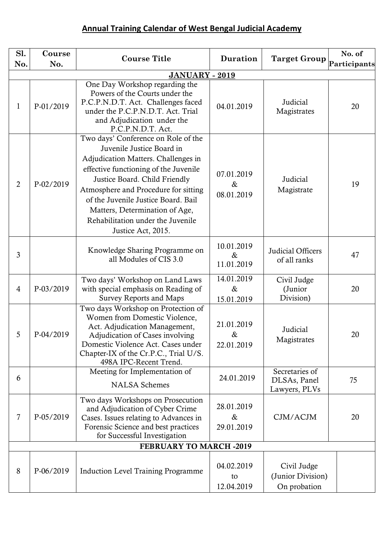## **Annual Training Calendar of West Bengal Judicial Academy**

| Sl.            | Course    | <b>Course Title</b>                                                                                                                                                                                                                                                                                                                                           | <b>Duration</b>                  | <b>Target Group</b>                              | No. of       |
|----------------|-----------|---------------------------------------------------------------------------------------------------------------------------------------------------------------------------------------------------------------------------------------------------------------------------------------------------------------------------------------------------------------|----------------------------------|--------------------------------------------------|--------------|
| No.            | No.       |                                                                                                                                                                                                                                                                                                                                                               |                                  |                                                  | Participants |
| 1              | P-01/2019 | <b>JANUARY - 2019</b><br>One Day Workshop regarding the<br>Powers of the Courts under the<br>P.C.P.N.D.T. Act. Challenges faced<br>under the P.C.P.N.D.T. Act. Trial<br>and Adjudication under the<br>P.C.P.N.D.T. Act.                                                                                                                                       | 04.01.2019                       | Judicial<br>Magistrates                          | 20           |
| $\overline{2}$ | P-02/2019 | Two days' Conference on Role of the<br>Juvenile Justice Board in<br>Adjudication Matters. Challenges in<br>effective functioning of the Juvenile<br>Justice Board. Child Friendly<br>Atmosphere and Procedure for sitting<br>of the Juvenile Justice Board. Bail<br>Matters, Determination of Age,<br>Rehabilitation under the Juvenile<br>Justice Act, 2015. | 07.01.2019<br>$\&$<br>08.01.2019 | Judicial<br>Magistrate                           | 19           |
| 3              |           | Knowledge Sharing Programme on<br>all Modules of CIS 3.0                                                                                                                                                                                                                                                                                                      | 10.01.2019<br>$\&$<br>11.01.2019 | Judicial Officers<br>of all ranks                | 47           |
| $\overline{4}$ | P-03/2019 | Two days' Workshop on Land Laws<br>with special emphasis on Reading of<br><b>Survey Reports and Maps</b>                                                                                                                                                                                                                                                      | 14.01.2019<br>$\&$<br>15.01.2019 | Civil Judge<br>(Junior<br>Division)              | 20           |
| 5              | P-04/2019 | Two days Workshop on Protection of<br>Women from Domestic Violence,<br>Act. Adjudication Management,<br>Adjudication of Cases involving<br>Domestic Violence Act. Cases under<br>Chapter-IX of the Cr.P.C., Trial U/S.<br>498A IPC-Recent Trend.                                                                                                              | 21.01.2019<br>&<br>22.01.2019    | Judicial<br>Magistrates                          | 20           |
| 6              |           | Meeting for Implementation of<br><b>NALSA</b> Schemes                                                                                                                                                                                                                                                                                                         | 24.01.2019                       | Secretaries of<br>DLSAs, Panel<br>Lawyers, PLVs  | 75           |
| $\overline{7}$ | P-05/2019 | Two days Workshops on Prosecution<br>and Adjudication of Cyber Crime<br>Cases. Issues relating to Advances in<br>Forensic Science and best practices<br>for Successful Investigation                                                                                                                                                                          | 28.01.2019<br>$\&$<br>29.01.2019 | CJM/ACJM                                         | 20           |
|                |           | <b>FEBRUARY TO MARCH -2019</b>                                                                                                                                                                                                                                                                                                                                |                                  |                                                  |              |
| 8              | P-06/2019 | <b>Induction Level Training Programme</b>                                                                                                                                                                                                                                                                                                                     | 04.02.2019<br>to<br>12.04.2019   | Civil Judge<br>(Junior Division)<br>On probation |              |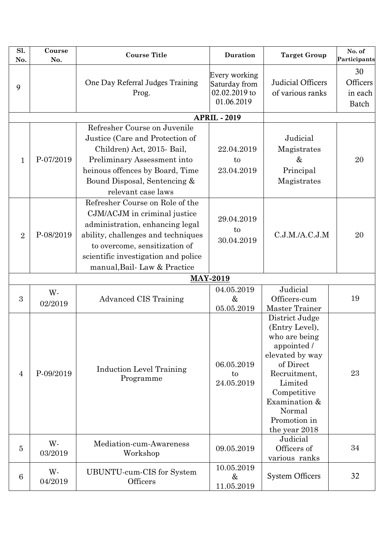| Sl.<br>No.     | Course<br>No. | <b>Course Title</b>                                                                                                                                                                                                                             | <b>Duration</b>                                               | <b>Target Group</b>                                                                                                                                                                                    | No. of<br>Participants             |
|----------------|---------------|-------------------------------------------------------------------------------------------------------------------------------------------------------------------------------------------------------------------------------------------------|---------------------------------------------------------------|--------------------------------------------------------------------------------------------------------------------------------------------------------------------------------------------------------|------------------------------------|
| 9              |               | One Day Referral Judges Training<br>Prog.                                                                                                                                                                                                       | Every working<br>Saturday from<br>02.02.2019 to<br>01.06.2019 | Judicial Officers<br>of various ranks                                                                                                                                                                  | 30<br>Officers<br>in each<br>Batch |
|                |               |                                                                                                                                                                                                                                                 | <b>APRIL - 2019</b>                                           |                                                                                                                                                                                                        |                                    |
| $\mathbf{1}$   | P-07/2019     | Refresher Course on Juvenile<br>Justice (Care and Protection of<br>Children) Act, 2015- Bail,<br>Preliminary Assessment into<br>heinous offences by Board, Time<br>Bound Disposal, Sentencing &<br>relevant case laws                           | 22.04.2019<br>to<br>23.04.2019                                | Judicial<br>Magistrates<br>&<br>Principal<br>Magistrates                                                                                                                                               | 20                                 |
| $\overline{2}$ | P-08/2019     | Refresher Course on Role of the<br>CJM/ACJM in criminal justice<br>administration, enhancing legal<br>ability, challenges and techniques<br>to overcome, sensitization of<br>scientific investigation and police<br>manual, Bail-Law & Practice | 29.04.2019<br>to<br>30.04.2019                                | C.J.M.A.C.J.M                                                                                                                                                                                          | 20                                 |
|                |               |                                                                                                                                                                                                                                                 | <b>MAY-2019</b>                                               |                                                                                                                                                                                                        |                                    |
| 3              | W-<br>02/2019 | <b>Advanced CIS Training</b>                                                                                                                                                                                                                    | 04.05.2019<br>$\&$<br>05.05.2019                              | Judicial<br>Officers-cum<br><b>Master Trainer</b>                                                                                                                                                      | 19                                 |
| $\overline{4}$ | P-09/2019     | <b>Induction Level Training</b><br>Programme                                                                                                                                                                                                    | 06.05.2019<br>to<br>24.05.2019                                | District Judge<br>(Entry Level),<br>who are being<br>appointed /<br>elevated by way<br>of Direct<br>Recruitment,<br>Limited<br>Competitive<br>Examination &<br>Normal<br>Promotion in<br>the year 2018 | 23                                 |
| $\overline{5}$ | W-<br>03/2019 | Mediation-cum-Awareness<br>Workshop                                                                                                                                                                                                             | 09.05.2019                                                    | Judicial<br>Officers of<br>various ranks                                                                                                                                                               | 34                                 |
| 6              | W-<br>04/2019 | UBUNTU-cum-CIS for System<br>Officers                                                                                                                                                                                                           | 10.05.2019<br>$\&$<br>11.05.2019                              | <b>System Officers</b>                                                                                                                                                                                 | 32                                 |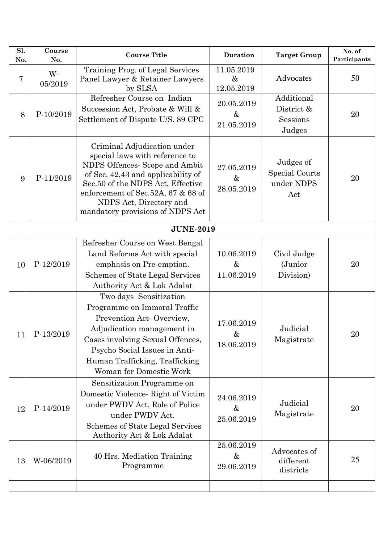| Sl.<br>No.       | Course<br>No. | <b>Course Title</b>                                                                                                                                                                                                                                                             | Duration                         | <b>Target Group</b>                              | No. of<br>Participants |  |
|------------------|---------------|---------------------------------------------------------------------------------------------------------------------------------------------------------------------------------------------------------------------------------------------------------------------------------|----------------------------------|--------------------------------------------------|------------------------|--|
| 7                | W-<br>05/2019 | Training Prog. of Legal Services<br>Panel Lawyer & Retainer Lawyers<br>by SLSA                                                                                                                                                                                                  | 11.05.2019<br>$\&$<br>12.05.2019 | Advocates                                        | 50                     |  |
| 8                | P-10/2019     | Refresher Course on Indian<br>Succession Act, Probate & Will &<br>Settlement of Dispute U/S. 89 CPC                                                                                                                                                                             | 20.05.2019<br>$\&$<br>21.05.2019 | Additional<br>District &<br>Sessions<br>Judges   | 20                     |  |
| 9                | P-11/2019     | Criminal Adjudication under<br>special laws with reference to<br>NDPS Offences- Scope and Ambit<br>of Sec. 42,43 and applicability of<br>Sec.50 of the NDPS Act, Effective<br>enforcement of Sec.52A, 67 & 68 of<br>NDPS Act, Directory and<br>mandatory provisions of NDPS Act | 27.05.2019<br>$\&$<br>28.05.2019 | Judges of<br>Special Courts<br>under NDPS<br>Act | 20                     |  |
| <b>JUNE-2019</b> |               |                                                                                                                                                                                                                                                                                 |                                  |                                                  |                        |  |
| 10               | P-12/2019     | Refresher Course on West Bengal<br>Land Reforms Act with special<br>emphasis on Pre-emption.<br>Schemes of State Legal Services<br>Authority Act & Lok Adalat                                                                                                                   | 10.06.2019<br>$\&$<br>11.06.2019 | Civil Judge<br>(Junior<br>Division)              | 20                     |  |
| 11               | P-13/2019     | Two days Sensitization<br>Programme on Immoral Traffic<br>Prevention Act-Overview,<br>Adjudication management in<br>Cases involving Sexual Offences,<br>Psycho Social Issues in Anti-<br>Human Trafficking, Trafficking<br>Woman for Domestic Work                              | 17.06.2019<br>$\&$<br>18.06.2019 | Judicial<br>Magistrate                           | 20                     |  |
| 12               | P-14/2019     | Sensitization Programme on<br>Domestic Violence-Right of Victim<br>under PWDV Act, Role of Police<br>under PWDV Act.<br><b>Schemes of State Legal Services</b><br>Authority Act & Lok Adalat                                                                                    | 24.06.2019<br>$\&$<br>25.06.2019 | Judicial<br>Magistrate                           | 20                     |  |
| 13               | W-06/2019     | 40 Hrs. Mediation Training<br>Programme                                                                                                                                                                                                                                         | 25.06.2019<br>$\&$<br>29.06.2019 | Advocates of<br>different<br>districts           | 25                     |  |
|                  |               |                                                                                                                                                                                                                                                                                 |                                  |                                                  |                        |  |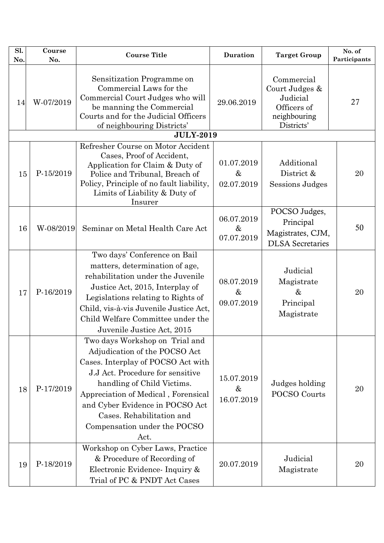| $\overline{\text{SI}}$<br>No. | Course<br>No. | <b>Course Title</b>                                                                                                                                                                                                                                                                                                    | Duration                         | <b>Target Group</b>                                                                   | No. of<br>Participants |
|-------------------------------|---------------|------------------------------------------------------------------------------------------------------------------------------------------------------------------------------------------------------------------------------------------------------------------------------------------------------------------------|----------------------------------|---------------------------------------------------------------------------------------|------------------------|
| 14                            | W-07/2019     | Sensitization Programme on<br>Commercial Laws for the<br>Commercial Court Judges who will<br>be manning the Commercial<br>Courts and for the Judicial Officers<br>of neighbouring Districts'                                                                                                                           | 29.06.2019                       | Commercial<br>Court Judges &<br>Judicial<br>Officers of<br>neighbouring<br>Districts' | 27                     |
|                               |               | <b>JULY-2019</b>                                                                                                                                                                                                                                                                                                       |                                  |                                                                                       |                        |
| 15                            | P-15/2019     | Refresher Course on Motor Accident<br>Cases, Proof of Accident,<br>Application for Claim & Duty of<br>Police and Tribunal, Breach of<br>Policy, Principle of no fault liability,<br>Limits of Liability & Duty of<br>Insurer                                                                                           | 01.07.2019<br>$\&$<br>02.07.2019 | Additional<br>District &<br><b>Sessions Judges</b>                                    | 20                     |
| 16                            | W-08/2019     | Seminar on Metal Health Care Act                                                                                                                                                                                                                                                                                       | 06.07.2019<br>$\&$<br>07.07.2019 | POCSO Judges,<br>Principal<br>Magistrates, CJM,<br><b>DLSA</b> Secretaries            | 50                     |
| 17                            | P-16/2019     | Two days' Conference on Bail<br>matters, determination of age,<br>rehabilitation under the Juvenile<br>Justice Act, 2015, Interplay of<br>Legislations relating to Rights of<br>Child, vis-à-vis Juvenile Justice Act,<br>Child Welfare Committee under the<br>Juvenile Justice Act, 2015                              | 08.07.2019<br>$\&$<br>09.07.2019 | Judicial<br>Magistrate<br>$\&$<br>Principal<br>Magistrate                             | 20                     |
| 18                            | P-17/2019     | Two days Workshop on Trial and<br>Adjudication of the POCSO Act<br>Cases. Interplay of POCSO Act with<br>J.J Act. Procedure for sensitive<br>handling of Child Victims.<br>Appreciation of Medical, Forensical<br>and Cyber Evidence in POCSO Act<br>Cases. Rehabilitation and<br>Compensation under the POCSO<br>Act. | 15.07.2019<br>&<br>16.07.2019    | Judges holding<br>POCSO Courts                                                        | 20                     |
| 19                            | P-18/2019     | Workshop on Cyber Laws, Practice<br>& Procedure of Recording of<br>Electronic Evidence- Inquiry &<br>Trial of PC & PNDT Act Cases                                                                                                                                                                                      | 20.07.2019                       | Judicial<br>Magistrate                                                                | 20                     |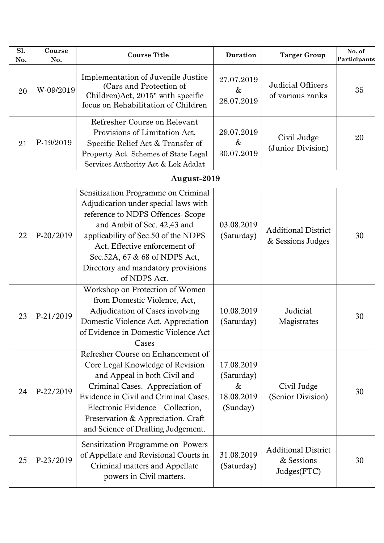| Sl.<br>No. | Course<br>No. | <b>Course Title</b>                                                                                                                                                                                                                                                                                            | <b>Duration</b>                                            | <b>Target Group</b>                                     | No. of<br>Participants |
|------------|---------------|----------------------------------------------------------------------------------------------------------------------------------------------------------------------------------------------------------------------------------------------------------------------------------------------------------------|------------------------------------------------------------|---------------------------------------------------------|------------------------|
| 20         | W-09/2019     | Implementation of Juvenile Justice<br>(Cars and Protection of<br>Children) Act, 2015" with specific<br>focus on Rehabilitation of Children                                                                                                                                                                     | 27.07.2019<br>&<br>28.07.2019                              | Judicial Officers<br>of various ranks                   | 35                     |
| 21         | P-19/2019     | Refresher Course on Relevant<br>Provisions of Limitation Act,<br>Specific Relief Act & Transfer of<br>Property Act. Schemes of State Legal<br>Services Authority Act & Lok Adalat                                                                                                                              | 29.07.2019<br>$\&$<br>30.07.2019                           | Civil Judge<br>(Junior Division)                        | 20                     |
|            |               | August-2019                                                                                                                                                                                                                                                                                                    |                                                            |                                                         |                        |
| 22         | P-20/2019     | Sensitization Programme on Criminal<br>Adjudication under special laws with<br>reference to NDPS Offences- Scope<br>and Ambit of Sec. 42,43 and<br>applicability of Sec.50 of the NDPS<br>Act, Effective enforcement of<br>Sec.52A, 67 & 68 of NDPS Act,<br>Directory and mandatory provisions<br>of NDPS Act. | 03.08.2019<br>(Saturday)                                   | <b>Additional District</b><br>& Sessions Judges         | 30                     |
| 23         | P-21/2019     | Workshop on Protection of Women<br>from Domestic Violence, Act,<br>Adjudication of Cases involving<br>Domestic Violence Act. Appreciation<br>of Evidence in Domestic Violence Act<br>Cases                                                                                                                     | 10.08.2019<br>(Saturday)                                   | Judicial<br>Magistrates                                 | 30                     |
| 24         | P-22/2019     | Refresher Course on Enhancement of<br>Core Legal Knowledge of Revision<br>and Appeal in both Civil and<br>Criminal Cases. Appreciation of<br>Evidence in Civil and Criminal Cases.<br>Electronic Evidence – Collection,<br>Preservation & Appreciation. Craft<br>and Science of Drafting Judgement.            | 17.08.2019<br>(Saturday)<br>$\&$<br>18.08.2019<br>(Sunday) | Civil Judge<br>(Senior Division)                        | 30                     |
| 25         | P-23/2019     | Sensitization Programme on Powers<br>of Appellate and Revisional Courts in<br>Criminal matters and Appellate<br>powers in Civil matters.                                                                                                                                                                       | 31.08.2019<br>(Saturday)                                   | <b>Additional District</b><br>& Sessions<br>Judges(FTC) | 30                     |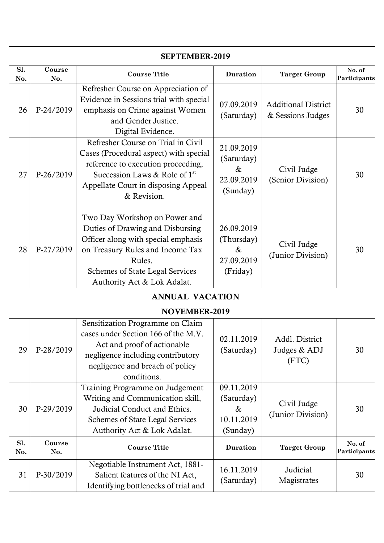| SEPTEMBER-2019 |                        |                                                                                                                                                                                                                                 |                                                            |                                                 |                        |  |  |
|----------------|------------------------|---------------------------------------------------------------------------------------------------------------------------------------------------------------------------------------------------------------------------------|------------------------------------------------------------|-------------------------------------------------|------------------------|--|--|
| Sl.<br>No.     | Course<br>No.          | <b>Course Title</b>                                                                                                                                                                                                             | <b>Duration</b>                                            | <b>Target Group</b>                             | No. of<br>Participants |  |  |
| 26             | P-24/2019              | Refresher Course on Appreciation of<br>Evidence in Sessions trial with special<br>emphasis on Crime against Women<br>and Gender Justice.<br>Digital Evidence.                                                                   | 07.09.2019<br>(Saturday)                                   | <b>Additional District</b><br>& Sessions Judges | 30                     |  |  |
| 27             | P-26/2019              | Refresher Course on Trial in Civil<br>Cases (Procedural aspect) with special<br>reference to execution proceeding,<br>Succession Laws & Role of $1st$<br>Appellate Court in disposing Appeal<br>& Revision.                     | 21.09.2019<br>(Saturday)<br>$\&$<br>22.09.2019<br>(Sunday) | Civil Judge<br>(Senior Division)                | 30                     |  |  |
| 28             | P-27/2019              | Two Day Workshop on Power and<br>Duties of Drawing and Disbursing<br>Officer along with special emphasis<br>on Treasury Rules and Income Tax<br>Rules.<br><b>Schemes of State Legal Services</b><br>Authority Act & Lok Adalat. | 26.09.2019<br>(Thursday)<br>$\&$<br>27.09.2019<br>(Friday) | Civil Judge<br>(Junior Division)                | 30                     |  |  |
|                | <b>ANNUAL VACATION</b> |                                                                                                                                                                                                                                 |                                                            |                                                 |                        |  |  |
|                |                        | NOVEMBER-2019                                                                                                                                                                                                                   |                                                            |                                                 |                        |  |  |
| 29             | P-28/2019              | Sensitization Programme on Claim<br>cases under Section 166 of the M.V.<br>Act and proof of actionable<br>negligence including contributory<br>negligence and breach of policy<br>conditions.                                   | 02.11.2019<br>(Saturday)                                   | Addl. District<br>Judges & ADJ<br>(FTC)         | 30                     |  |  |
| 30             | P-29/2019              | Training Programme on Judgement<br>Writing and Communication skill,<br>Judicial Conduct and Ethics.<br>Schemes of State Legal Services<br>Authority Act & Lok Adalat.                                                           | 09.11.2019<br>(Saturday)<br>$\&$<br>10.11.2019<br>(Sunday) | Civil Judge<br>(Junior Division)                | 30                     |  |  |
| Sl.<br>No.     | Course<br>No.          | <b>Course Title</b>                                                                                                                                                                                                             | <b>Duration</b>                                            | <b>Target Group</b>                             | No. of<br>Participants |  |  |
| 31             | P-30/2019              | Negotiable Instrument Act, 1881-<br>Salient features of the NI Act,<br>Identifying bottlenecks of trial and                                                                                                                     | 16.11.2019<br>(Saturday)                                   | Judicial<br>Magistrates                         | 30                     |  |  |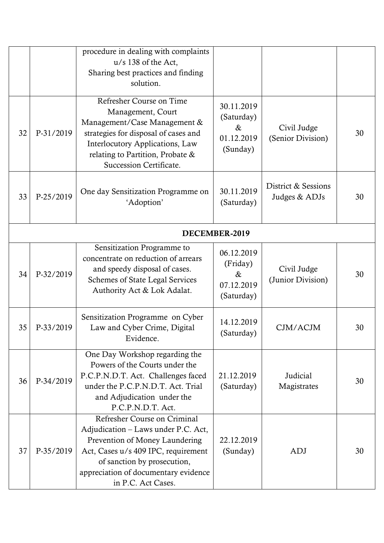|    |               | procedure in dealing with complaints<br>$u/s$ 138 of the Act,<br>Sharing best practices and finding<br>solution.                                                                                                                          |                                                            |                                      |    |  |
|----|---------------|-------------------------------------------------------------------------------------------------------------------------------------------------------------------------------------------------------------------------------------------|------------------------------------------------------------|--------------------------------------|----|--|
| 32 | P-31/2019     | Refresher Course on Time<br>Management, Court<br>Management/Case Management &<br>strategies for disposal of cases and<br>Interlocutory Applications, Law<br>relating to Partition, Probate &<br>Succession Certificate.                   | 30.11.2019<br>(Saturday)<br>$\&$<br>01.12.2019<br>(Sunday) | Civil Judge<br>(Senior Division)     | 30 |  |
| 33 | P-25/2019     | One day Sensitization Programme on<br>'Adoption'                                                                                                                                                                                          | 30.11.2019<br>(Saturday)                                   | District & Sessions<br>Judges & ADJs | 30 |  |
|    | DECEMBER-2019 |                                                                                                                                                                                                                                           |                                                            |                                      |    |  |
| 34 | P-32/2019     | Sensitization Programme to<br>concentrate on reduction of arrears<br>and speedy disposal of cases.<br><b>Schemes of State Legal Services</b><br>Authority Act & Lok Adalat.                                                               | 06.12.2019<br>(Friday)<br>$\&$<br>07.12.2019<br>(Saturday) | Civil Judge<br>(Junior Division)     | 30 |  |
| 35 | P-33/2019     | Sensitization Programme on Cyber<br>Law and Cyber Crime, Digital<br>Evidence.                                                                                                                                                             | 14.12.2019<br>(Saturday)                                   | CJM/ACJM                             | 30 |  |
| 36 | P-34/2019     | One Day Workshop regarding the<br>Powers of the Courts under the<br>P.C.P.N.D.T. Act. Challenges faced<br>under the P.C.P.N.D.T. Act. Trial<br>and Adjudication under the<br>P.C.P.N.D.T. Act.                                            | 21.12.2019<br>(Saturday)                                   | Judicial<br>Magistrates              | 30 |  |
| 37 | P-35/2019     | Refresher Course on Criminal<br>Adjudication – Laws under P.C. Act,<br>Prevention of Money Laundering<br>Act, Cases u/s 409 IPC, requirement<br>of sanction by prosecution,<br>appreciation of documentary evidence<br>in P.C. Act Cases. | 22.12.2019<br>(Sunday)                                     | ADJ                                  | 30 |  |